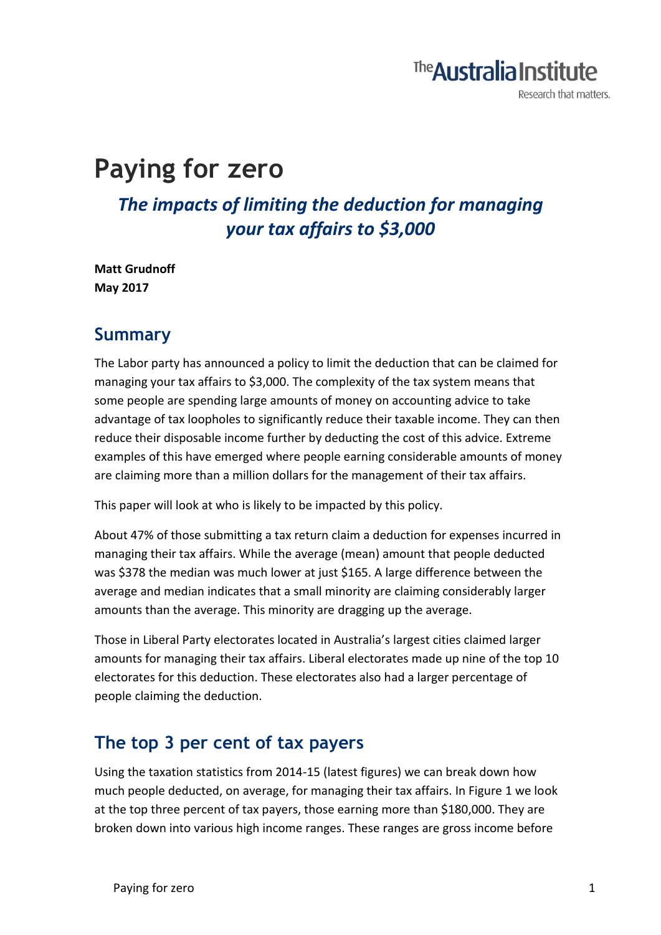# The **Australia Institute**

Research that matters.

# **Paying for zero**

*The impacts of limiting the deduction for managing your tax affairs to \$3,000*

**Matt Grudnoff May 2017**

#### **Summary**

The Labor party has announced a policy to limit the deduction that can be claimed for managing your tax affairs to \$3,000. The complexity of the tax system means that some people are spending large amounts of money on accounting advice to take advantage of tax loopholes to significantly reduce their taxable income. They can then reduce their disposable income further by deducting the cost of this advice. Extreme examples of this have emerged where people earning considerable amounts of money are claiming more than a million dollars for the management of their tax affairs.

This paper will look at who is likely to be impacted by this policy.

About 47% of those submitting a tax return claim a deduction for expenses incurred in managing their tax affairs. While the average (mean) amount that people deducted was \$378 the median was much lower at just \$165. A large difference between the average and median indicates that a small minority are claiming considerably larger amounts than the average. This minority are dragging up the average.

Those in Liberal Party electorates located in Australia's largest cities claimed larger amounts for managing their tax affairs. Liberal electorates made up nine of the top 10 electorates for this deduction. These electorates also had a larger percentage of people claiming the deduction.

#### **The top 3 per cent of tax payers**

Using the taxation statistics from 2014-15 (latest figures) we can break down how much people deducted, on average, for managing their tax affairs. In Figure 1 we look at the top three percent of tax payers, those earning more than \$180,000. They are broken down into various high income ranges. These ranges are gross income before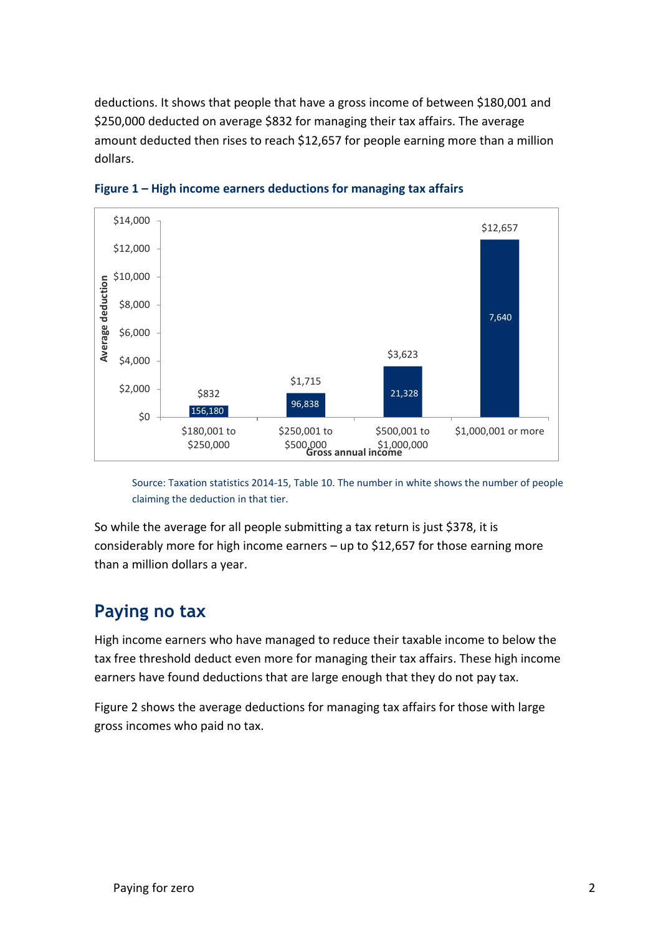deductions. It shows that people that have a gross income of between \$180,001 and \$250,000 deducted on average \$832 for managing their tax affairs. The average amount deducted then rises to reach \$12,657 for people earning more than a million dollars.



**Figure 1 – High income earners deductions for managing tax affairs**

Source: Taxation statistics 2014-15, Table 10. The number in white shows the number of people claiming the deduction in that tier.

So while the average for all people submitting a tax return is just \$378, it is considerably more for high income earners – up to \$12,657 for those earning more than a million dollars a year.

#### **Paying no tax**

High income earners who have managed to reduce their taxable income to below the tax free threshold deduct even more for managing their tax affairs. These high income earners have found deductions that are large enough that they do not pay tax.

Figure 2 shows the average deductions for managing tax affairs for those with large gross incomes who paid no tax.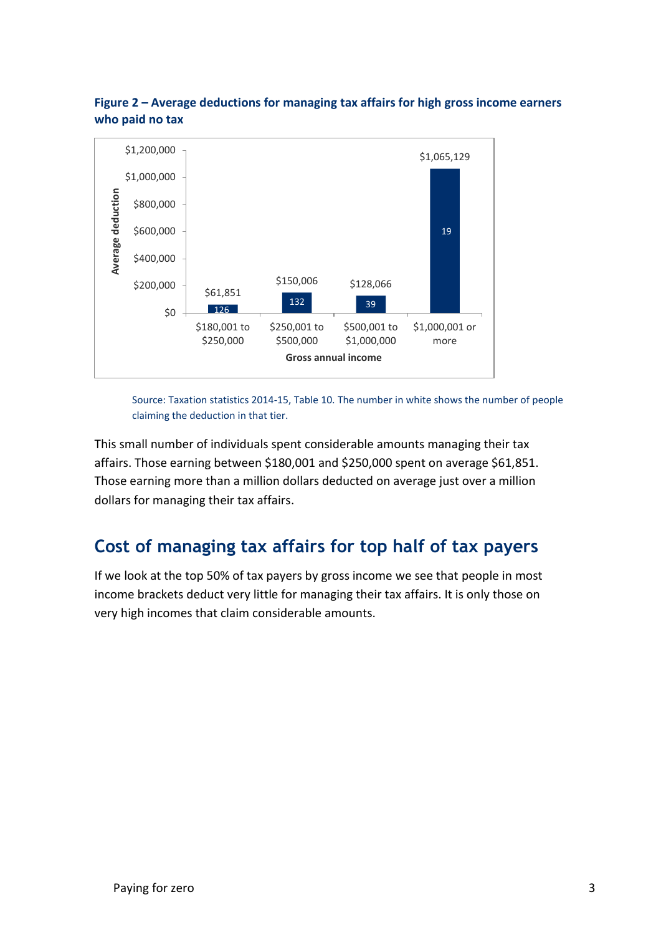



Source: Taxation statistics 2014-15, Table 10. The number in white shows the number of people claiming the deduction in that tier.

This small number of individuals spent considerable amounts managing their tax affairs. Those earning between \$180,001 and \$250,000 spent on average \$61,851. Those earning more than a million dollars deducted on average just over a million dollars for managing their tax affairs.

# **Cost of managing tax affairs for top half of tax payers**

If we look at the top 50% of tax payers by gross income we see that people in most income brackets deduct very little for managing their tax affairs. It is only those on very high incomes that claim considerable amounts.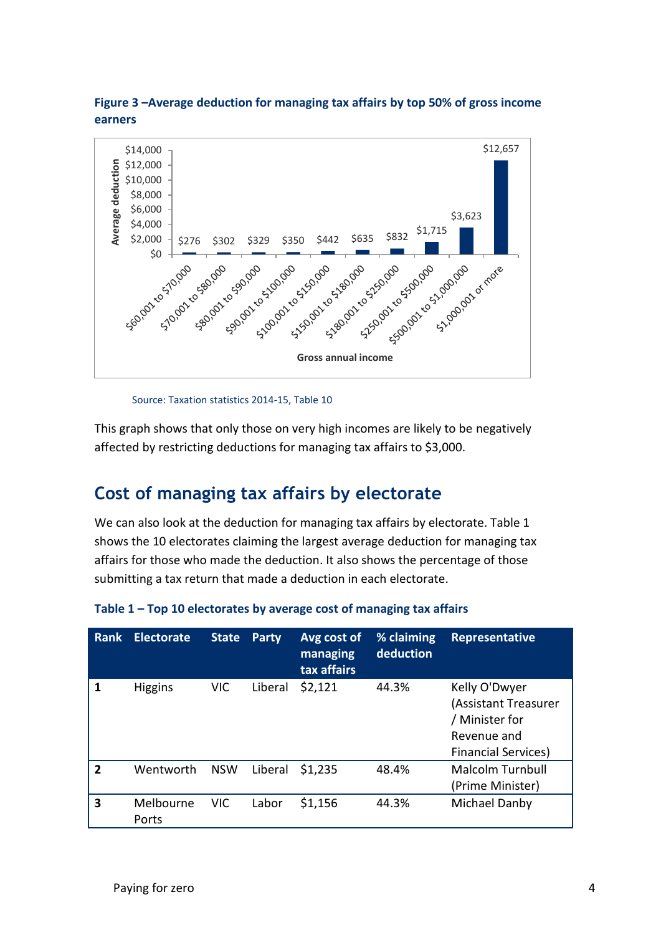



Source: Taxation statistics 2014-15, Table 10

This graph shows that only those on very high incomes are likely to be negatively affected by restricting deductions for managing tax affairs to \$3,000.

# **Cost of managing tax affairs by electorate**

We can also look at the deduction for managing tax affairs by electorate. Table 1 shows the 10 electorates claiming the largest average deduction for managing tax affairs for those who made the deduction. It also shows the percentage of those submitting a tax return that made a deduction in each electorate.

| Rank           | <b>Electorate</b>  | <b>State</b> | <b>Party</b> | Avg cost of<br>managing<br>tax affairs | % claiming<br>deduction | Representative                                                                                       |
|----------------|--------------------|--------------|--------------|----------------------------------------|-------------------------|------------------------------------------------------------------------------------------------------|
| 1              | <b>Higgins</b>     | <b>VIC</b>   | Liberal      | \$2,121                                | 44.3%                   | Kelly O'Dwyer<br>(Assistant Treasurer<br>/ Minister for<br>Revenue and<br><b>Financial Services)</b> |
| $\overline{2}$ | Wentworth          | <b>NSW</b>   | Liberal      | \$1,235                                | 48.4%                   | <b>Malcolm Turnbull</b><br>(Prime Minister)                                                          |
| 3              | Melbourne<br>Ports | <b>VIC</b>   | Labor        | \$1,156                                | 44.3%                   | Michael Danby                                                                                        |

| Table 1 - Top 10 electorates by average cost of managing tax affairs |  |  |
|----------------------------------------------------------------------|--|--|
|----------------------------------------------------------------------|--|--|